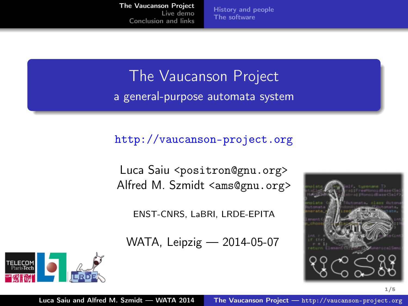[History and people](#page-1-0) [The software](#page-2-0)

<span id="page-0-0"></span>The Vaucanson Project a general-purpose automata system

#### <http://vaucanson-project.org>

Luca Saiu <positron@gnu.org> Alfred M. Szmidt <ams@gnu.org>

ENST-CNRS, LaBRI, LRDE-EPITA

WATA, Leipzig — 2014-05-07.



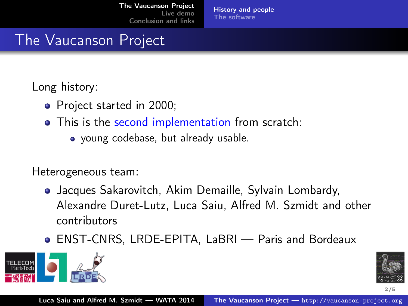[History and people](#page-1-0) [The software](#page-2-0)

# <span id="page-1-0"></span>The Vaucanson Project

Long history:

- Project started in 2000;
- This is the second implementation from scratch:
	- young codebase, but already usable.

Heterogeneous team:

- Jacques Sakarovitch, Akim Demaille, Sylvain Lombardy, Alexandre Duret-Lutz, Luca Saiu, Alfred M. Szmidt and other contributors
- ENST-CNRS, LRDE-EPITA, LaBRI Paris and Bordeaux .



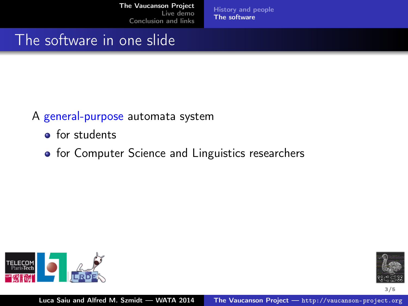[History and people](#page-1-0) [The software](#page-6-0)

# <span id="page-2-0"></span>The software in one slide

#### A general-purpose automata system

- **o** for students
- **•** for Computer Science and Linguistics researchers



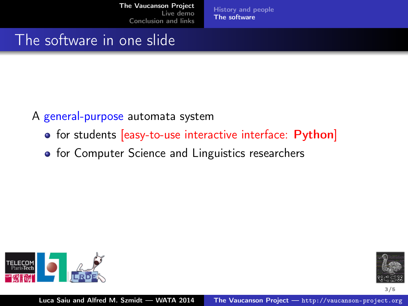[History and people](#page-1-0) [The software](#page-6-0)

# The software in one slide

#### A general-purpose automata system

- for students [easy-to-use interactive interface: Python]
- for Computer Science and Linguistics researchers



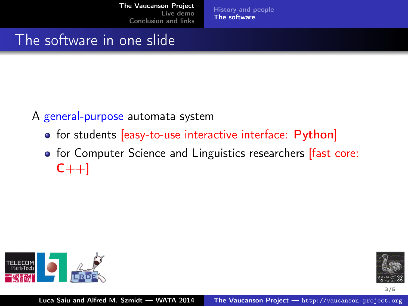[History and people](#page-1-0) [The software](#page-6-0)

# The software in one slide

#### A general-purpose automata system

- **•** for students [easy-to-use interactive interface: Python]
- for Computer Science and Linguistics researchers **[fast core:**  $C_{++}$ ]



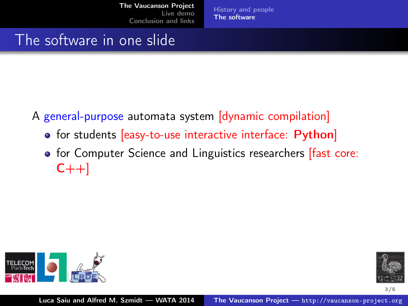[History and people](#page-1-0) [The software](#page-6-0)

# The software in one slide

- A general-purpose automata system [dynamic compilation]
	- for students [easy-to-use interactive interface: Python]
	- **•** for Computer Science and Linguistics researchers [fast core:  $C++$ ]



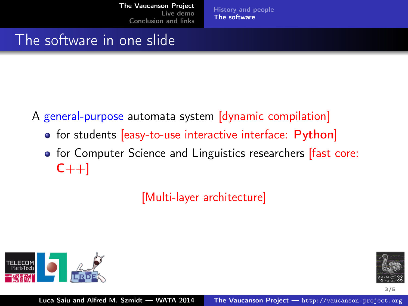[History and people](#page-1-0) [The software](#page-2-0)

# <span id="page-6-0"></span>The software in one slide

- A general-purpose automata system [dynamic compilation]
	- **•** for students [easy-to-use interactive interface: Python]
	- **•** for Computer Science and Linguistics researchers [fast core:  $C++$ ]

[Multi-layer architecture]



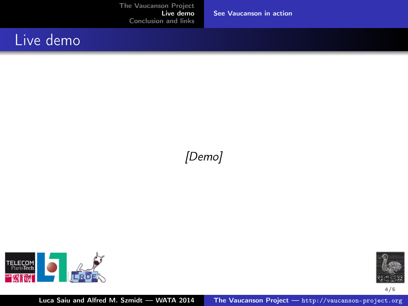[See Vaucanson in action](#page-7-0)

### <span id="page-7-0"></span>Live demo

#### [Demo]



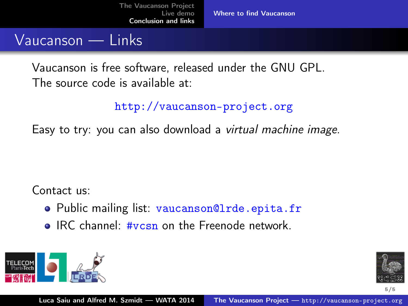### <span id="page-8-0"></span>Vaucanson — Links

Vaucanson is free software, released under the GNU GPL. The source code is available at:

#### <http://vaucanson-project.org>

Easy to try: you can also download a virtual machine image.

Contact us:

- Public mailing list: vaucanson@lrde.epita.fr
- **IRC channel: #vcsn on the Freenode network.**